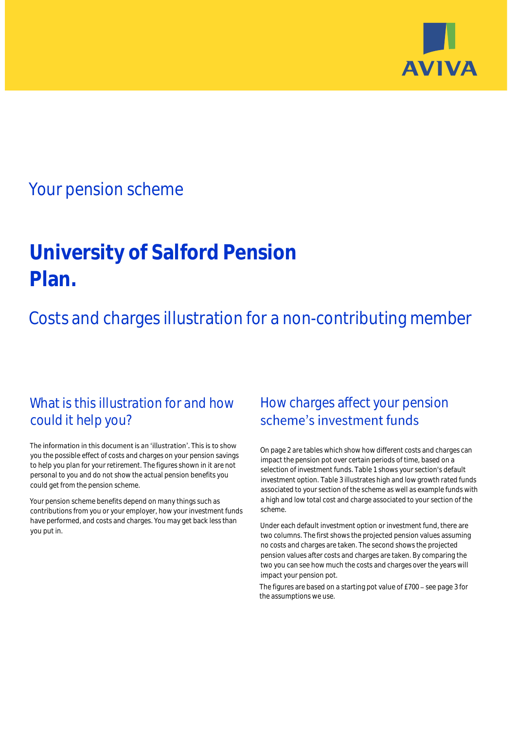

# Your pension scheme

# **University of Salford Pension Plan.**

Costs and charges illustration for a non-contributing member

# What is this illustration for and how could it help you?

### The information in this document is an 'illustration'. This is to show you the possible effect of costs and charges on your pension savings to help you plan for your retirement. The figures shown in it are not personal to you and do not show the actual pension benefits you could get from the pension scheme.

Your pension scheme benefits depend on many things such as contributions from you or your employer, how your investment funds have performed, and costs and charges. You may get back less than you put in.

# How charges affect your pension scheme's investment funds

On page 2 are tables which show how different costs and charges can impact the pension pot over certain periods of time, based on a selection of investment funds. Table 1 shows your section's default investment option. Table 3 illustrates high and low growth rated funds associated to your section of the scheme as well as example funds with a high and low total cost and charge associated to your section of the scheme.

Under each default investment option or investment fund, there are two columns. The first shows the projected pension values assuming no costs and charges are taken. The second shows the projected pension values after costs and charges are taken. By comparing the two you can see how much the costs and charges over the years will impact your pension pot.

The figures are based on a starting pot value of  $£700 -$  see page 3 for the assumptions we use.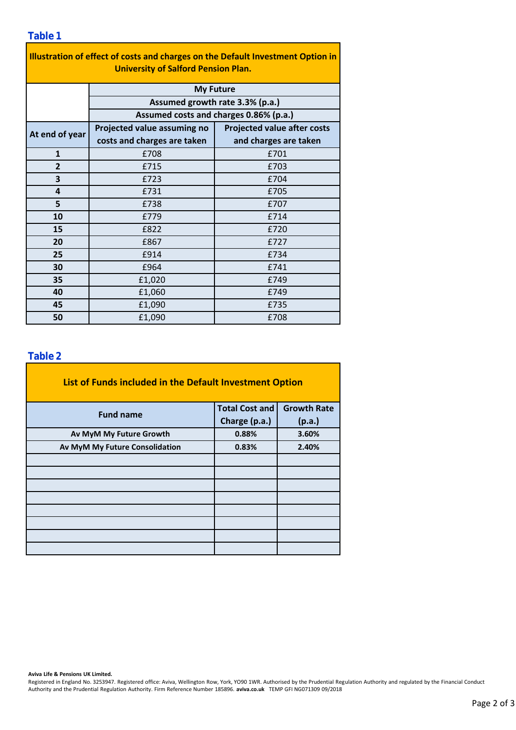### **Table 1**

| Illustration of effect of costs and charges on the Default Investment Option in<br><b>University of Salford Pension Plan.</b> |                                                                                               |                                    |  |  |  |  |  |  |  |
|-------------------------------------------------------------------------------------------------------------------------------|-----------------------------------------------------------------------------------------------|------------------------------------|--|--|--|--|--|--|--|
|                                                                                                                               | <b>My Future</b><br>Assumed growth rate 3.3% (p.a.)<br>Assumed costs and charges 0.86% (p.a.) |                                    |  |  |  |  |  |  |  |
|                                                                                                                               |                                                                                               |                                    |  |  |  |  |  |  |  |
|                                                                                                                               |                                                                                               |                                    |  |  |  |  |  |  |  |
| At end of year                                                                                                                | Projected value assuming no                                                                   | <b>Projected value after costs</b> |  |  |  |  |  |  |  |
|                                                                                                                               | costs and charges are taken                                                                   | and charges are taken              |  |  |  |  |  |  |  |
| $\mathbf{1}$                                                                                                                  | £708                                                                                          | £701                               |  |  |  |  |  |  |  |
| $\overline{2}$                                                                                                                | £715                                                                                          | £703                               |  |  |  |  |  |  |  |
| 3                                                                                                                             | £723                                                                                          | £704                               |  |  |  |  |  |  |  |
| 4                                                                                                                             | £731                                                                                          | £705                               |  |  |  |  |  |  |  |
| 5                                                                                                                             | £738                                                                                          | £707                               |  |  |  |  |  |  |  |
| 10                                                                                                                            | £779                                                                                          | £714                               |  |  |  |  |  |  |  |
| 15                                                                                                                            | £822                                                                                          | £720                               |  |  |  |  |  |  |  |
| 20                                                                                                                            | £867                                                                                          | £727                               |  |  |  |  |  |  |  |
| 25                                                                                                                            | £914                                                                                          | £734                               |  |  |  |  |  |  |  |
| 30                                                                                                                            | £964                                                                                          | £741                               |  |  |  |  |  |  |  |
| 35                                                                                                                            | £1,020                                                                                        | £749                               |  |  |  |  |  |  |  |
| 40                                                                                                                            | £1,060                                                                                        | £749                               |  |  |  |  |  |  |  |
| 45                                                                                                                            | £1,090                                                                                        | £735                               |  |  |  |  |  |  |  |
| 50                                                                                                                            | £1,090                                                                                        | £708                               |  |  |  |  |  |  |  |

### **Table 2**

| List of Funds included in the Default Investment Option |                       |                    |  |  |  |  |  |  |
|---------------------------------------------------------|-----------------------|--------------------|--|--|--|--|--|--|
| <b>Fund name</b>                                        | <b>Total Cost and</b> | <b>Growth Rate</b> |  |  |  |  |  |  |
|                                                         | Charge (p.a.)         | (p.a.)             |  |  |  |  |  |  |
| Av MyM My Future Growth                                 | 0.88%                 | 3.60%              |  |  |  |  |  |  |
| Av MyM My Future Consolidation                          | 0.83%                 | 2.40%              |  |  |  |  |  |  |
|                                                         |                       |                    |  |  |  |  |  |  |
|                                                         |                       |                    |  |  |  |  |  |  |
|                                                         |                       |                    |  |  |  |  |  |  |
|                                                         |                       |                    |  |  |  |  |  |  |
|                                                         |                       |                    |  |  |  |  |  |  |
|                                                         |                       |                    |  |  |  |  |  |  |
|                                                         |                       |                    |  |  |  |  |  |  |
|                                                         |                       |                    |  |  |  |  |  |  |

#### **Aviva Life & Pensions UK Limited.**

Registered in England No. 3253947. Registered office: Aviva, Wellington Row, York, YO90 1WR. Authorised by the Prudential Regulation Authority and regulated by the Financial Conduct Authority and the Prudential Regulation Authority. Firm Reference Number 185896. **aviva.co.uk** TEMP GFI NG071309 09/2018